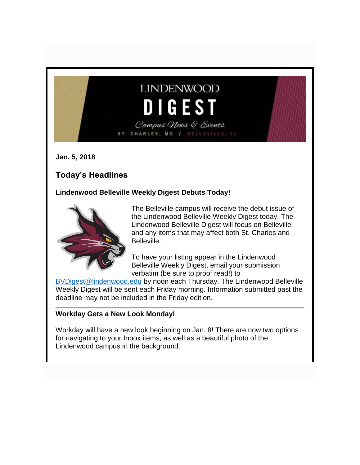# **LINDENWOOD** DIGEST Campus News & Events

ST. CHARLES, MO / BELLEVILLE, IL

**Jan. 5, 2018**

# **Today's Headlines**

#### **Lindenwood Belleville Weekly Digest Debuts Today!**



The Belleville campus will receive the debut issue of the Lindenwood Belleville Weekly Digest today. The Lindenwood Belleville Digest will focus on Belleville and any items that may affect both St. Charles and Belleville.

To have your listing appear in the Lindenwood Belleville Weekly Digest, email your submission verbatim (be sure to proof read!) to

[BVDigest@lindenwood.edu](mailto:BVDigest@lindenwood.edu) by noon each Thursday. The Lindenwood Belleville Weekly Digest will be sent each Friday morning. Information submitted past the deadline may not be included in the Friday edition.

#### **Workday Gets a New Look Monday!**

Workday will have a new look beginning on Jan. 8! There are now two options for navigating to your Inbox items, as well as a beautiful photo of the Lindenwood campus in the background.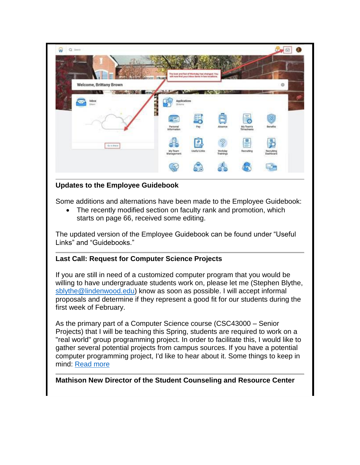| $\widehat{\mathbf{w}}$<br>Q liest                   |                                 |                                                                                                   |                              |                                      |                                  |  |
|-----------------------------------------------------|---------------------------------|---------------------------------------------------------------------------------------------------|------------------------------|--------------------------------------|----------------------------------|--|
|                                                     |                                 | The took and feet of Workday has changed. You<br>will now find your inbox items in two locations. |                              |                                      |                                  |  |
| <b>STATISTICS</b><br><b>Welcome, Brittany Brown</b> |                                 |                                                                                                   | <b>MAG</b>                   |                                      | O                                |  |
| <b>Cold Image</b><br>Inbox<br><b>Situani</b>        | Applications<br>25 hors         |                                                                                                   |                              |                                      |                                  |  |
| ĩ.                                                  | 汇                               |                                                                                                   |                              |                                      |                                  |  |
|                                                     | Personal<br>Information<br>しします | Pay                                                                                               | Absence                      | My Team's<br>Timesheats<br>98.99 P.S | <b>Benefits</b>                  |  |
| Gr in those                                         | My Team<br>Management           | Useful Links                                                                                      | Workday<br>Trainings<br>보다 저 | $\mathbb{R}^n$<br>Ē<br>Recruiting    | Recruiting<br>Dashboard<br>54.CD |  |
|                                                     |                                 |                                                                                                   |                              |                                      |                                  |  |

## **Updates to the Employee Guidebook**

Some additions and alternations have been made to the Employee Guidebook:

• The recently modified section on faculty rank and promotion, which starts on page 66, received some editing.

The updated version of the Employee Guidebook can be found under "Useful Links" and "Guidebooks."

#### **Last Call: Request for Computer Science Projects**

If you are still in need of a customized computer program that you would be willing to have undergraduate students work on, please let me (Stephen Blythe, [sblythe@lindenwood.edu\)](mailto:sblythe@lindenwood.edu) know as soon as possible. I will accept informal proposals and determine if they represent a good fit for our students during the first week of February.

As the primary part of a Computer Science course (CSC43000 – Senior Projects) that I will be teaching this Spring, students are required to work on a "real world" group programming project. In order to facilitate this, I would like to gather several potential projects from campus sources. If you have a potential computer programming project, I'd like to hear about it. Some things to keep in mind: [Read more](http://felix.lindenwood.edu/newsletter/2018_01/computer_science.pdf)

#### **Mathison New Director of the Student Counseling and Resource Center**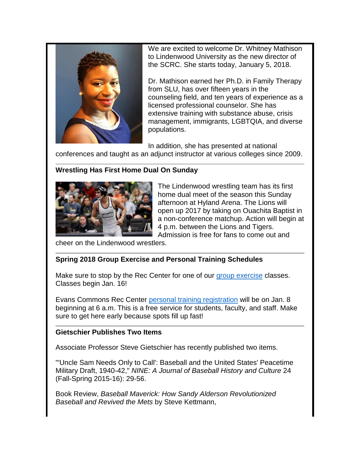

We are excited to welcome Dr. Whitney Mathison to Lindenwood University as the new director of the SCRC. She starts today, January 5, 2018.

Dr. Mathison earned her Ph.D. in Family Therapy from SLU, has over fifteen years in the counseling field, and ten years of experience as a licensed professional counselor. She has extensive training with substance abuse, crisis management, immigrants, LGBTQIA, and diverse populations.

In addition, she has presented at national conferences and taught as an adjunct instructor at various colleges since 2009.

#### **Wrestling Has First Home Dual On Sunday**



The Lindenwood wrestling team has its first home dual meet of the season this Sunday afternoon at Hyland Arena. The Lions will open up 2017 by taking on Ouachita Baptist in a non-conference matchup. Action will begin at 4 p.m. between the Lions and Tigers. Admission is free for fans to come out and

cheer on the Lindenwood wrestlers.

## **Spring 2018 Group Exercise and Personal Training Schedules**

Make sure to stop by the Rec Center for one of our [group exercise](http://felix.lindenwood.edu/newsletter/2018_01/group_exercise.jpg) classes. Classes begin Jan. 16!

Evans Commons Rec Center [personal training registration](http://felix.lindenwood.edu/newsletter/2018_01/personal_training.jpg) will be on Jan. 8 beginning at 6 a.m. This is a free service for students, faculty, and staff. Make sure to get here early because spots fill up fast!

#### **Gietschier Publishes Two Items**

Associate Professor Steve Gietschier has recently published two items.

"'Uncle Sam Needs Only to Call': Baseball and the United States' Peacetime Military Draft, 1940-42," *NINE: A Journal of Baseball History and Culture* 24 (Fall-Spring 2015-16): 29-56.

Book Review, *Baseball Maverick: How Sandy Alderson Revolutionized Baseball and Revived the Mets* by Steve Kettmann,